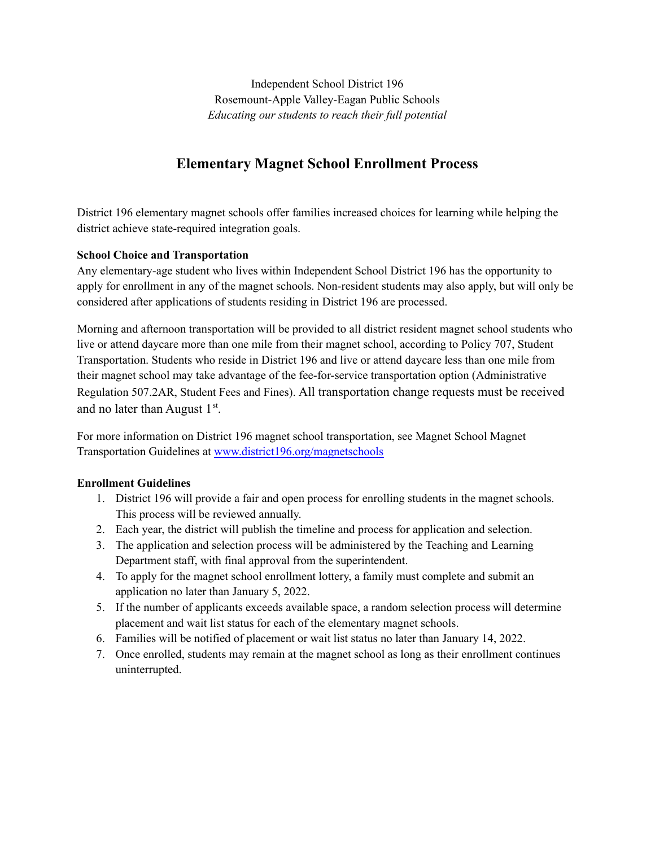Independent School District 196 Rosemount-Apple Valley-Eagan Public Schools *Educating our students to reach their full potential*

# **Elementary Magnet School Enrollment Process**

District 196 elementary magnet schools offer families increased choices for learning while helping the district achieve state-required integration goals.

## **School Choice and Transportation**

Any elementary-age student who lives within Independent School District 196 has the opportunity to apply for enrollment in any of the magnet schools. Non-resident students may also apply, but will only be considered after applications of students residing in District 196 are processed.

Morning and afternoon transportation will be provided to all district resident magnet school students who live or attend daycare more than one mile from their magnet school, according to Policy 707, Student Transportation. Students who reside in District 196 and live or attend daycare less than one mile from their magnet school may take advantage of the fee-for-service transportation option (Administrative Regulation 507.2AR, Student Fees and Fines). All transportation change requests must be received and no later than August  $1<sup>st</sup>$ .

For more information on District 196 magnet school transportation, see Magnet School Magnet Transportation Guidelines at [www.district196.org/magnetschools](http://www.district196.org/magnetschools)

## **Enrollment Guidelines**

- 1. District 196 will provide a fair and open process for enrolling students in the magnet schools. This process will be reviewed annually.
- 2. Each year, the district will publish the timeline and process for application and selection.
- 3. The application and selection process will be administered by the Teaching and Learning Department staff, with final approval from the superintendent.
- 4. To apply for the magnet school enrollment lottery, a family must complete and submit an application no later than January 5, 2022.
- 5. If the number of applicants exceeds available space, a random selection process will determine placement and wait list status for each of the elementary magnet schools.
- 6. Families will be notified of placement or wait list status no later than January 14, 2022.
- 7. Once enrolled, students may remain at the magnet school as long as their enrollment continues uninterrupted.